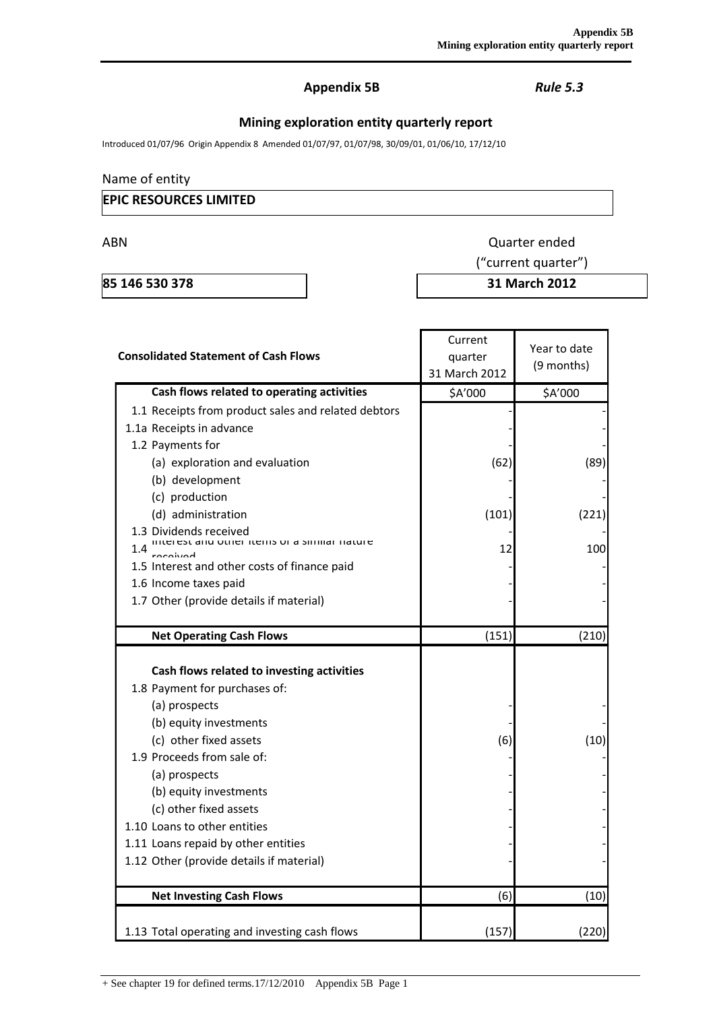## **Appendix 5B** *Rule 5.3*

# **Mining exploration entity quarterly report**

Introduced 01/07/96 Origin Appendix 8 Amended 01/07/97, 01/07/98, 30/09/01, 01/06/10, 17/12/10

## Name of entity

## **EPIC RESOURCES LIMITED**

ABN Quarter ended

**85 146 530 378 31 March 2012**

("current quarter")

| <b>Consolidated Statement of Cash Flows</b>                                                                                                                                                                                                                                                                                                                            | Current<br>quarter<br>31 March 2012 | Year to date<br>(9 months) |  |
|------------------------------------------------------------------------------------------------------------------------------------------------------------------------------------------------------------------------------------------------------------------------------------------------------------------------------------------------------------------------|-------------------------------------|----------------------------|--|
| Cash flows related to operating activities                                                                                                                                                                                                                                                                                                                             | \$A'000                             | \$A'000                    |  |
| 1.1 Receipts from product sales and related debtors                                                                                                                                                                                                                                                                                                                    |                                     |                            |  |
| 1.1a Receipts in advance                                                                                                                                                                                                                                                                                                                                               |                                     |                            |  |
| 1.2 Payments for                                                                                                                                                                                                                                                                                                                                                       |                                     |                            |  |
| (a) exploration and evaluation                                                                                                                                                                                                                                                                                                                                         | (62)                                | (89)                       |  |
| (b) development                                                                                                                                                                                                                                                                                                                                                        |                                     |                            |  |
| (c) production                                                                                                                                                                                                                                                                                                                                                         |                                     |                            |  |
| (d) administration                                                                                                                                                                                                                                                                                                                                                     | (101)                               | (221)                      |  |
| 1.3 Dividends received<br>interest and other items or a similar nature<br>1.4                                                                                                                                                                                                                                                                                          | 12                                  | 100                        |  |
| 1.5 Interest and other costs of finance paid                                                                                                                                                                                                                                                                                                                           |                                     |                            |  |
| 1.6 Income taxes paid                                                                                                                                                                                                                                                                                                                                                  |                                     |                            |  |
| 1.7 Other (provide details if material)                                                                                                                                                                                                                                                                                                                                |                                     |                            |  |
|                                                                                                                                                                                                                                                                                                                                                                        |                                     |                            |  |
| <b>Net Operating Cash Flows</b>                                                                                                                                                                                                                                                                                                                                        | (151)                               | (210)                      |  |
| Cash flows related to investing activities<br>1.8 Payment for purchases of:<br>(a) prospects<br>(b) equity investments<br>(c) other fixed assets<br>1.9 Proceeds from sale of:<br>(a) prospects<br>(b) equity investments<br>(c) other fixed assets<br>1.10 Loans to other entities<br>1.11 Loans repaid by other entities<br>1.12 Other (provide details if material) | (6)                                 | (10)                       |  |
| <b>Net Investing Cash Flows</b>                                                                                                                                                                                                                                                                                                                                        | (6)                                 | (10)                       |  |
| 1.13 Total operating and investing cash flows                                                                                                                                                                                                                                                                                                                          | (157)                               | (220)                      |  |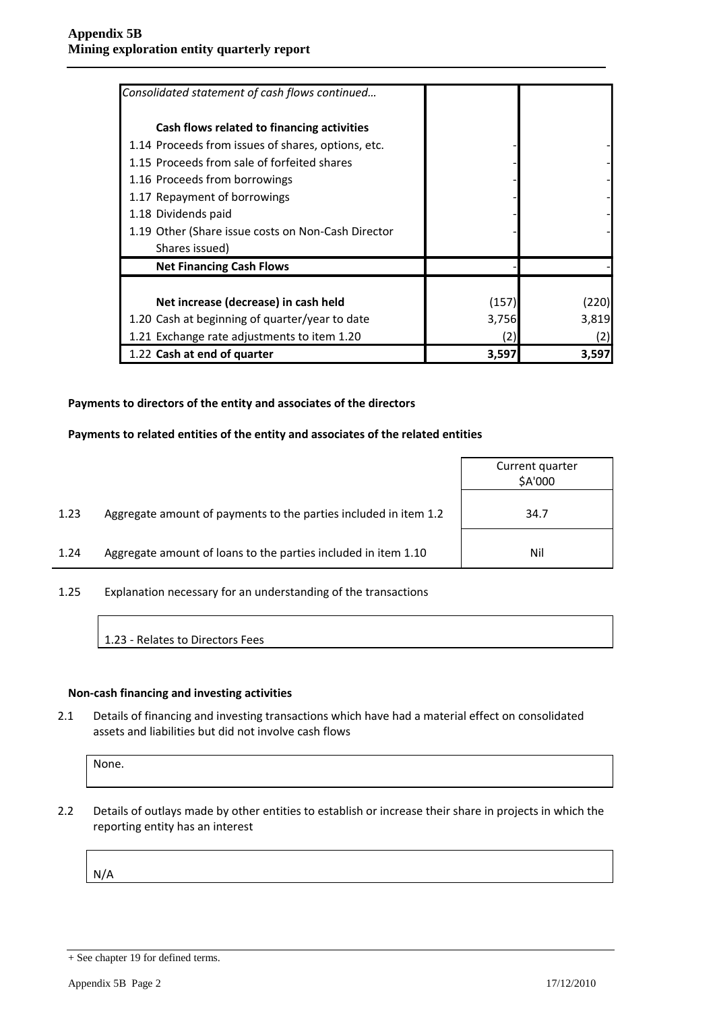| Consolidated statement of cash flows continued     |       |       |
|----------------------------------------------------|-------|-------|
| Cash flows related to financing activities         |       |       |
| 1.14 Proceeds from issues of shares, options, etc. |       |       |
| 1.15 Proceeds from sale of forfeited shares        |       |       |
| 1.16 Proceeds from borrowings                      |       |       |
| 1.17 Repayment of borrowings                       |       |       |
| 1.18 Dividends paid                                |       |       |
| 1.19 Other (Share issue costs on Non-Cash Director |       |       |
| Shares issued)                                     |       |       |
| <b>Net Financing Cash Flows</b>                    |       |       |
|                                                    |       |       |
| Net increase (decrease) in cash held               | (157) | (220) |
| 1.20 Cash at beginning of quarter/year to date     | 3,756 | 3,819 |
| 1.21 Exchange rate adjustments to item 1.20        | (2)   | (2)   |
| 1.22 Cash at end of quarter                        | 3,597 | 3,597 |

#### **Payments to directors of the entity and associates of the directors**

#### **Payments to related entities of the entity and associates of the related entities**

|      |                                                                  | Current quarter<br>\$A'000 |
|------|------------------------------------------------------------------|----------------------------|
| 1.23 | Aggregate amount of payments to the parties included in item 1.2 | 34.7                       |
| 1.24 | Aggregate amount of loans to the parties included in item 1.10   | Nil                        |

1.25 Explanation necessary for an understanding of the transactions

1.23 - Relates to Directors Fees

#### **Non-cash financing and investing activities**

2.1 Details of financing and investing transactions which have had a material effect on consolidated assets and liabilities but did not involve cash flows

None.

2.2 Details of outlays made by other entities to establish or increase their share in projects in which the reporting entity has an interest

N/A

<sup>+</sup> See chapter 19 for defined terms.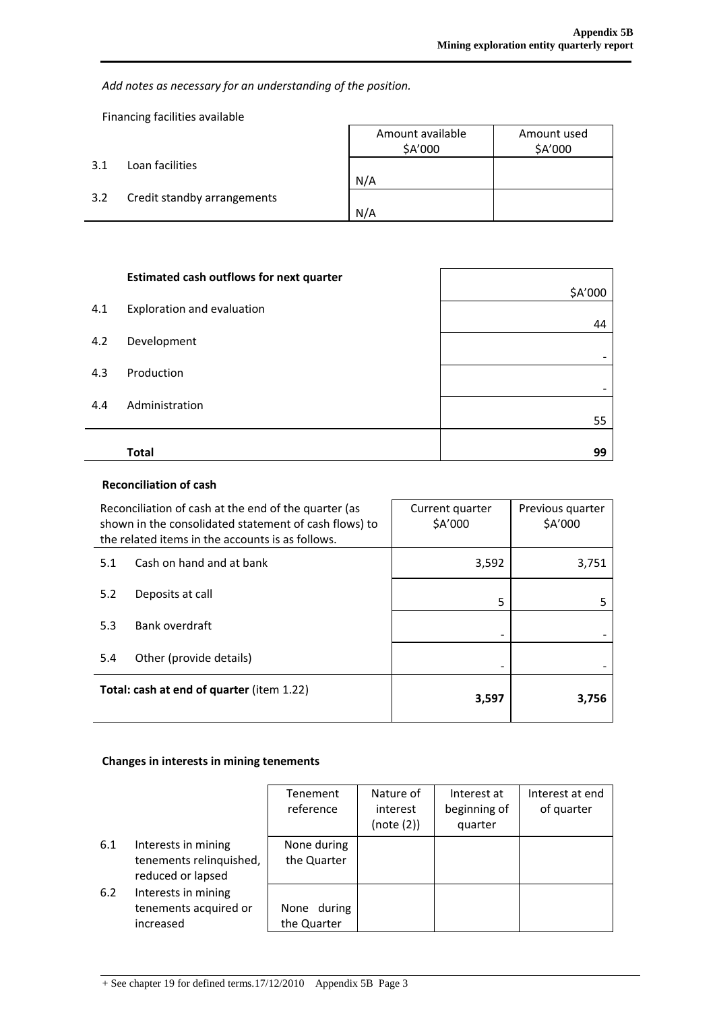*Add notes as necessary for an understanding of the position.*

Financing facilities available

l,

|     |                             | Amount available<br>\$A'000 | Amount used<br>\$A'000 |
|-----|-----------------------------|-----------------------------|------------------------|
| 3.1 | Loan facilities             |                             |                        |
|     |                             | N/A                         |                        |
| 3.2 | Credit standby arrangements |                             |                        |
|     |                             | N/A                         |                        |

|     | <b>Estimated cash outflows for next quarter</b> |         |
|-----|-------------------------------------------------|---------|
|     |                                                 | \$A'000 |
| 4.1 | Exploration and evaluation                      |         |
| 4.2 | Development                                     | 44      |
|     |                                                 |         |
| 4.3 | Production                                      |         |
| 4.4 | Administration                                  |         |
|     |                                                 | 55      |
|     |                                                 |         |
|     | <b>Total</b>                                    | 99      |

## **Reconciliation of cash**

| Reconciliation of cash at the end of the quarter (as<br>shown in the consolidated statement of cash flows) to<br>the related items in the accounts is as follows. |                          | Current quarter<br>\$A'000 | Previous quarter<br>\$A'000 |
|-------------------------------------------------------------------------------------------------------------------------------------------------------------------|--------------------------|----------------------------|-----------------------------|
| 5.1                                                                                                                                                               | Cash on hand and at bank | 3,592                      | 3,751                       |
| 5.2                                                                                                                                                               | Deposits at call         | 5                          | 5                           |
| 5.3                                                                                                                                                               | Bank overdraft           |                            |                             |
| 5.4                                                                                                                                                               | Other (provide details)  |                            |                             |
| <b>Total: cash at end of quarter (item 1.22)</b>                                                                                                                  |                          | 3,597                      | 3,756                       |

## **Changes in interests in mining tenements**

|     |                                                                     | Tenement<br>reference      | Nature of<br>interest<br>(note (2)) | Interest at<br>beginning of<br>quarter | Interest at end<br>of quarter |
|-----|---------------------------------------------------------------------|----------------------------|-------------------------------------|----------------------------------------|-------------------------------|
| 6.1 | Interests in mining<br>tenements relinquished,<br>reduced or lapsed | None during<br>the Quarter |                                     |                                        |                               |
| 6.2 | Interests in mining<br>tenements acquired or<br>increased           | None during<br>the Quarter |                                     |                                        |                               |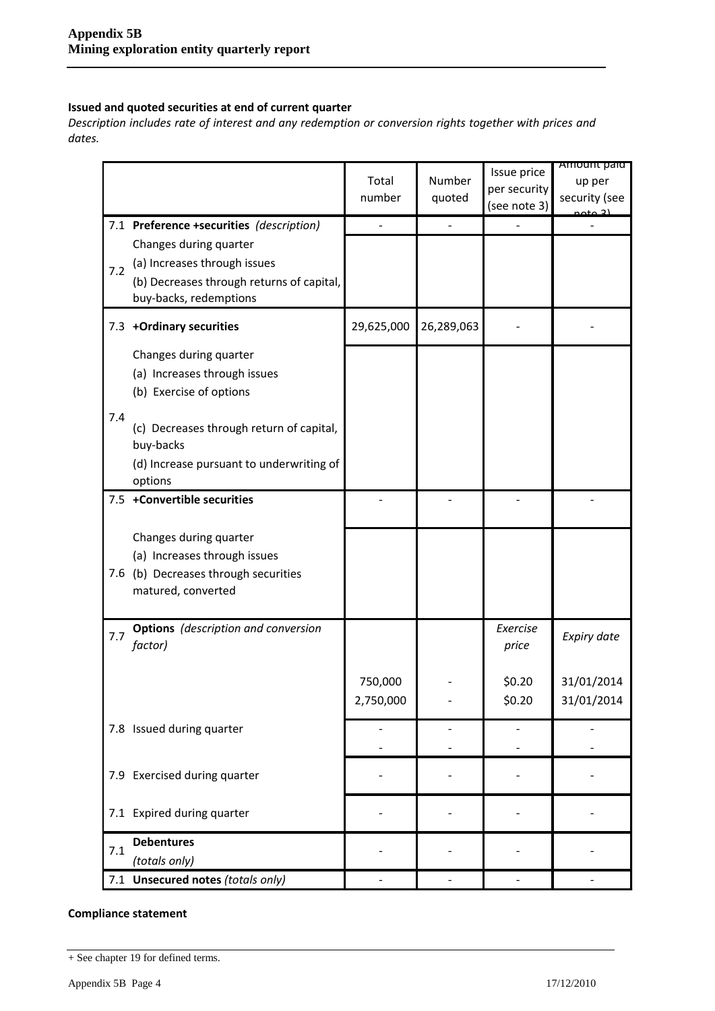### **Issued and quoted securities at end of current quarter**

*Description includes rate of interest and any redemption or conversion rights together with prices and dates.*

|     |                                                                                                                               | Total<br>number      | Number<br>quoted | Issue price<br>per security<br>(see note 3) | Amount paid<br>up per<br>security (see |
|-----|-------------------------------------------------------------------------------------------------------------------------------|----------------------|------------------|---------------------------------------------|----------------------------------------|
|     | 7.1 Preference +securities (description)                                                                                      |                      |                  |                                             |                                        |
| 7.2 | Changes during quarter<br>(a) Increases through issues<br>(b) Decreases through returns of capital,<br>buy-backs, redemptions |                      |                  |                                             |                                        |
|     | 7.3 +Ordinary securities                                                                                                      | 29,625,000           | 26,289,063       |                                             |                                        |
|     | Changes during quarter<br>(a) Increases through issues<br>(b) Exercise of options                                             |                      |                  |                                             |                                        |
| 7.4 | (c) Decreases through return of capital,<br>buy-backs<br>(d) Increase pursuant to underwriting of                             |                      |                  |                                             |                                        |
|     | options                                                                                                                       |                      |                  |                                             |                                        |
|     | 7.5 +Convertible securities                                                                                                   |                      |                  |                                             |                                        |
|     | Changes during quarter                                                                                                        |                      |                  |                                             |                                        |
|     | (a) Increases through issues                                                                                                  |                      |                  |                                             |                                        |
| 7.6 | (b) Decreases through securities<br>matured, converted                                                                        |                      |                  |                                             |                                        |
| 7.7 | <b>Options</b> (description and conversion<br>factor)                                                                         |                      |                  | Exercise<br>price                           | Expiry date                            |
|     |                                                                                                                               | 750,000<br>2,750,000 |                  | \$0.20<br>\$0.20                            | 31/01/2014<br>31/01/2014               |
|     | 7.8 Issued during quarter                                                                                                     |                      |                  |                                             |                                        |
|     | 7.9 Exercised during quarter                                                                                                  |                      |                  |                                             |                                        |
|     | 7.1 Expired during quarter                                                                                                    |                      |                  |                                             |                                        |
| 7.1 | <b>Debentures</b>                                                                                                             |                      |                  |                                             |                                        |
|     | (totals only)                                                                                                                 |                      |                  |                                             |                                        |
|     | 7.1 Unsecured notes (totals only)                                                                                             |                      |                  |                                             |                                        |

### **Compliance statement**

<sup>+</sup> See chapter 19 for defined terms.